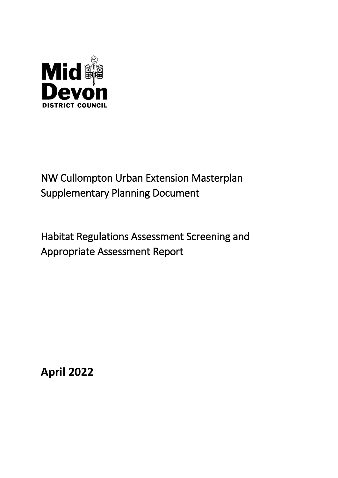

# NW Cullompton Urban Extension Masterplan Supplementary Planning Document

Habitat Regulations Assessment Screening and Appropriate Assessment Report

**April 2022**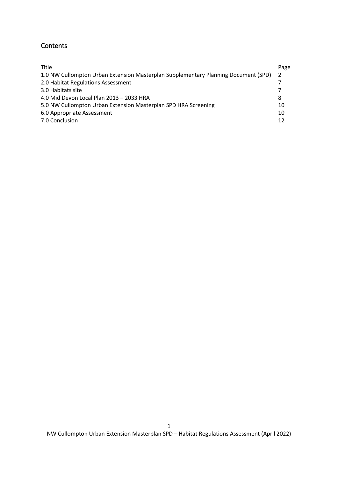## Contents

| <b>Title</b>                                                                       | Page           |  |
|------------------------------------------------------------------------------------|----------------|--|
| 1.0 NW Cullompton Urban Extension Masterplan Supplementary Planning Document (SPD) | $\overline{2}$ |  |
| 2.0 Habitat Regulations Assessment                                                 |                |  |
| 3.0 Habitats site                                                                  |                |  |
| 4.0 Mid Devon Local Plan 2013 - 2033 HRA                                           | 8              |  |
| 5.0 NW Cullompton Urban Extension Masterplan SPD HRA Screening                     |                |  |
| 6.0 Appropriate Assessment                                                         | 10             |  |
| 7.0 Conclusion                                                                     | 12             |  |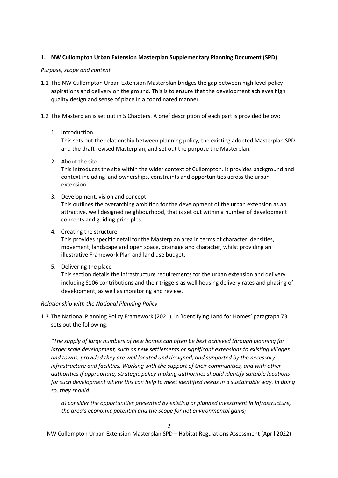## <span id="page-2-0"></span>**1. NW Cullompton Urban Extension Masterplan Supplementary Planning Document (SPD)**

#### *Purpose, scope and content*

- 1.1 The NW Cullompton Urban Extension Masterplan bridges the gap between high level policy aspirations and delivery on the ground. This is to ensure that the development achieves high quality design and sense of place in a coordinated manner.
- 1.2 The Masterplan is set out in 5 Chapters. A brief description of each part is provided below:
	- 1. Introduction

This sets out the relationship between planning policy, the existing adopted Masterplan SPD and the draft revised Masterplan, and set out the purpose the Masterplan.

2. About the site

This introduces the site within the wider context of Cullompton. It provides background and context including land ownerships, constraints and opportunities across the urban extension.

- 3. Development, vision and concept This outlines the overarching ambition for the development of the urban extension as an attractive, well designed neighbourhood, that is set out within a number of development concepts and guiding principles.
- 4. Creating the structure

This provides specific detail for the Masterplan area in terms of character, densities, movement, landscape and open space, drainage and character, whilst providing an illustrative Framework Plan and land use budget.

5. Delivering the place

This section details the infrastructure requirements for the urban extension and delivery including S106 contributions and their triggers as well housing delivery rates and phasing of development, as well as monitoring and review.

## *Relationship with the National Planning Policy*

1.3 The National Planning Policy Framework (2021), in 'Identifying Land for Homes' paragraph 73 sets out the following:

*"The supply of large numbers of new homes can often be best achieved through planning for larger scale development, such as new settlements or significant extensions to existing villages and towns, provided they are well located and designed, and supported by the necessary infrastructure and facilities. Working with the support of their communities, and with other authorities if appropriate, strategic policy-making authorities should identify suitable locations for such development where this can help to meet identified needs in a sustainable way. In doing so, they should:* 

*a) consider the opportunities presented by existing or planned investment in infrastructure, the area's economic potential and the scope for net environmental gains;*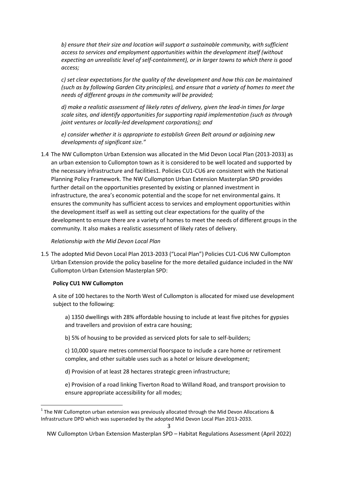*b) ensure that their size and location will support a sustainable community, with sufficient access to services and employment opportunities within the development itself (without expecting an unrealistic level of self-containment), or in larger towns to which there is good access;* 

*c) set clear expectations for the quality of the development and how this can be maintained (such as by following Garden City principles), and ensure that a variety of homes to meet the needs of different groups in the community will be provided;* 

*d) make a realistic assessment of likely rates of delivery, given the lead-in times for large scale sites, and identify opportunities for supporting rapid implementation (such as through joint ventures or locally-led development corporations); and* 

*e) consider whether it is appropriate to establish Green Belt around or adjoining new developments of significant size."* 

1.4 The NW Cullompton Urban Extension was allocated in the Mid Devon Local Plan (2013-2033) as an urban extension to Cullompton town as it is considered to be well located and supported by the necessary infrastructure and facilities1. Policies CU1-CU6 are consistent with the National Planning Policy Framework. The NW Cullompton Urban Extension Masterplan SPD provides further detail on the opportunities presented by existing or planned investment in infrastructure, the area's economic potential and the scope for net environmental gains. It ensures the community has sufficient access to services and employment opportunities within the development itself as well as setting out clear expectations for the quality of the development to ensure there are a variety of homes to meet the needs of different groups in the community. It also makes a realistic assessment of likely rates of delivery.

#### *Relationship with the Mid Devon Local Plan*

1.5 The adopted Mid Devon Local Plan 2013-2033 ("Local Plan") Policies CU1-CU6 NW Cullompton Urban Extension provide the policy baseline for the more detailed guidance included in the NW Cullompton Urban Extension Masterplan SPD:

#### **Policy CU1 NW Cullompton**

1

A site of 100 hectares to the North West of Cullompton is allocated for mixed use development subject to the following:

a) 1350 dwellings with 28% affordable housing to include at least five pitches for gypsies and travellers and provision of extra care housing;

b) 5% of housing to be provided as serviced plots for sale to self-builders;

c) 10,000 square metres commercial floorspace to include a care home or retirement complex, and other suitable uses such as a hotel or leisure development;

d) Provision of at least 28 hectares strategic green infrastructure;

e) Provision of a road linking Tiverton Road to Willand Road, and transport provision to ensure appropriate accessibility for all modes;

 $1$  The NW Cullompton urban extension was previously allocated through the Mid Devon Allocations & Infrastructure DPD which was superseded by the adopted Mid Devon Local Plan 2013-2033.

NW Cullompton Urban Extension Masterplan SPD – Habitat Regulations Assessment (April 2022)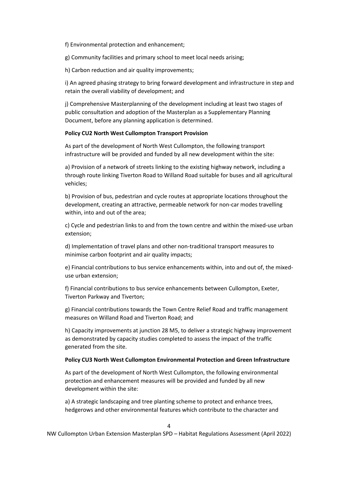f) Environmental protection and enhancement;

g) Community facilities and primary school to meet local needs arising;

h) Carbon reduction and air quality improvements;

i) An agreed phasing strategy to bring forward development and infrastructure in step and retain the overall viability of development; and

j) Comprehensive Masterplanning of the development including at least two stages of public consultation and adoption of the Masterplan as a Supplementary Planning Document, before any planning application is determined.

#### **Policy CU2 North West Cullompton Transport Provision**

As part of the development of North West Cullompton, the following transport infrastructure will be provided and funded by all new development within the site:

a) Provision of a network of streets linking to the existing highway network, including a through route linking Tiverton Road to Willand Road suitable for buses and all agricultural vehicles;

b) Provision of bus, pedestrian and cycle routes at appropriate locations throughout the development, creating an attractive, permeable network for non-car modes travelling within, into and out of the area;

c) Cycle and pedestrian links to and from the town centre and within the mixed-use urban extension;

d) Implementation of travel plans and other non-traditional transport measures to minimise carbon footprint and air quality impacts;

e) Financial contributions to bus service enhancements within, into and out of, the mixeduse urban extension;

f) Financial contributions to bus service enhancements between Cullompton, Exeter, Tiverton Parkway and Tiverton;

g) Financial contributions towards the Town Centre Relief Road and traffic management measures on Willand Road and Tiverton Road; and

h) Capacity improvements at junction 28 M5, to deliver a strategic highway improvement as demonstrated by capacity studies completed to assess the impact of the traffic generated from the site.

#### **Policy CU3 North West Cullompton Environmental Protection and Green Infrastructure**

As part of the development of North West Cullompton, the following environmental protection and enhancement measures will be provided and funded by all new development within the site:

a) A strategic landscaping and tree planting scheme to protect and enhance trees, hedgerows and other environmental features which contribute to the character and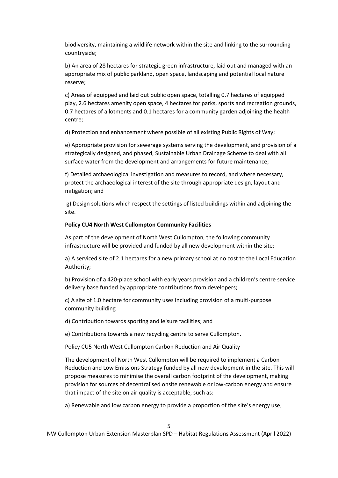biodiversity, maintaining a wildlife network within the site and linking to the surrounding countryside;

b) An area of 28 hectares for strategic green infrastructure, laid out and managed with an appropriate mix of public parkland, open space, landscaping and potential local nature reserve;

c) Areas of equipped and laid out public open space, totalling 0.7 hectares of equipped play, 2.6 hectares amenity open space, 4 hectares for parks, sports and recreation grounds, 0.7 hectares of allotments and 0.1 hectares for a community garden adjoining the health centre;

d) Protection and enhancement where possible of all existing Public Rights of Way;

e) Appropriate provision for sewerage systems serving the development, and provision of a strategically designed, and phased, Sustainable Urban Drainage Scheme to deal with all surface water from the development and arrangements for future maintenance;

f) Detailed archaeological investigation and measures to record, and where necessary, protect the archaeological interest of the site through appropriate design, layout and mitigation; and

g) Design solutions which respect the settings of listed buildings within and adjoining the site.

#### **Policy CU4 North West Cullompton Community Facilities**

As part of the development of North West Cullompton, the following community infrastructure will be provided and funded by all new development within the site:

a) A serviced site of 2.1 hectares for a new primary school at no cost to the Local Education Authority;

b) Provision of a 420-place school with early years provision and a children's centre service delivery base funded by appropriate contributions from developers;

c) A site of 1.0 hectare for community uses including provision of a multi-purpose community building

d) Contribution towards sporting and leisure facilities; and

e) Contributions towards a new recycling centre to serve Cullompton.

Policy CU5 North West Cullompton Carbon Reduction and Air Quality

The development of North West Cullompton will be required to implement a Carbon Reduction and Low Emissions Strategy funded by all new development in the site. This will propose measures to minimise the overall carbon footprint of the development, making provision for sources of decentralised onsite renewable or low-carbon energy and ensure that impact of the site on air quality is acceptable, such as:

a) Renewable and low carbon energy to provide a proportion of the site's energy use;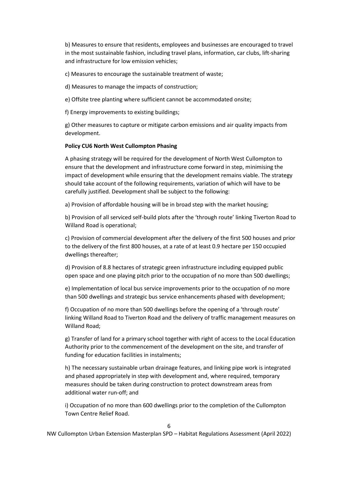b) Measures to ensure that residents, employees and businesses are encouraged to travel in the most sustainable fashion, including travel plans, information, car clubs, lift-sharing and infrastructure for low emission vehicles;

c) Measures to encourage the sustainable treatment of waste;

d) Measures to manage the impacts of construction;

e) Offsite tree planting where sufficient cannot be accommodated onsite;

f) Energy improvements to existing buildings;

g) Other measures to capture or mitigate carbon emissions and air quality impacts from development.

#### **Policy CU6 North West Cullompton Phasing**

A phasing strategy will be required for the development of North West Cullompton to ensure that the development and infrastructure come forward in step, minimising the impact of development while ensuring that the development remains viable. The strategy should take account of the following requirements, variation of which will have to be carefully justified. Development shall be subject to the following:

a) Provision of affordable housing will be in broad step with the market housing;

b) Provision of all serviced self-build plots after the 'through route' linking Tiverton Road to Willand Road is operational;

c) Provision of commercial development after the delivery of the first 500 houses and prior to the delivery of the first 800 houses, at a rate of at least 0.9 hectare per 150 occupied dwellings thereafter;

d) Provision of 8.8 hectares of strategic green infrastructure including equipped public open space and one playing pitch prior to the occupation of no more than 500 dwellings;

e) Implementation of local bus service improvements prior to the occupation of no more than 500 dwellings and strategic bus service enhancements phased with development;

f) Occupation of no more than 500 dwellings before the opening of a 'through route' linking Willand Road to Tiverton Road and the delivery of traffic management measures on Willand Road;

g) Transfer of land for a primary school together with right of access to the Local Education Authority prior to the commencement of the development on the site, and transfer of funding for education facilities in instalments;

h) The necessary sustainable urban drainage features, and linking pipe work is integrated and phased appropriately in step with development and, where required, temporary measures should be taken during construction to protect downstream areas from additional water run-off; and

i) Occupation of no more than 600 dwellings prior to the completion of the Cullompton Town Centre Relief Road.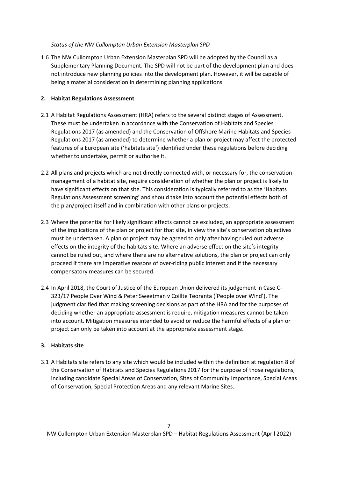#### *Status of the NW Cullompton Urban Extension Masterplan SPD*

1.6 The NW Cullompton Urban Extension Masterplan SPD will be adopted by the Council as a Supplementary Planning Document. The SPD will not be part of the development plan and does not introduce new planning policies into the development plan. However, it will be capable of being a material consideration in determining planning applications.

## <span id="page-7-0"></span>**2. Habitat Regulations Assessment**

- 2.1 A Habitat Regulations Assessment (HRA) refers to the several distinct stages of Assessment. These must be undertaken in accordance with the Conservation of Habitats and Species Regulations 2017 (as amended) and the Conservation of Offshore Marine Habitats and Species Regulations 2017 (as amended) to determine whether a plan or project may affect the protected features of a European site ('habitats site') identified under these regulations before deciding whether to undertake, permit or authorise it.
- 2.2 All plans and projects which are not directly connected with, or necessary for, the conservation management of a habitat site, require consideration of whether the plan or project is likely to have significant effects on that site. This consideration is typically referred to as the 'Habitats Regulations Assessment screening' and should take into account the potential effects both of the plan/project itself and in combination with other plans or projects.
- 2.3 Where the potential for likely significant effects cannot be excluded, an appropriate assessment of the implications of the plan or project for that site, in view the site's conservation objectives must be undertaken. A plan or project may be agreed to only after having ruled out adverse effects on the integrity of the habitats site. Where an adverse effect on the site's integrity cannot be ruled out, and where there are no alternative solutions, the plan or project can only proceed if there are imperative reasons of over-riding public interest and if the necessary compensatory measures can be secured.
- 2.4 In April 2018, the Court of Justice of the European Union delivered its judgement in Case C-323/17 People Over Wind & Peter Sweetman v Coillte Teoranta ('People over Wind'). The judgment clarified that making screening decisions as part of the HRA and for the purposes of deciding whether an appropriate assessment is require, mitigation measures cannot be taken into account. Mitigation measures intended to avoid or reduce the harmful effects of a plan or project can only be taken into account at the appropriate assessment stage.

## <span id="page-7-1"></span>**3. Habitats site**

3.1 A Habitats site refers to any site which would be included within the definition at regulation 8 of the Conservation of Habitats and Species Regulations 2017 for the purpose of those regulations, including candidate Special Areas of Conservation, Sites of Community Importance, Special Areas of Conservation, Special Protection Areas and any relevant Marine Sites.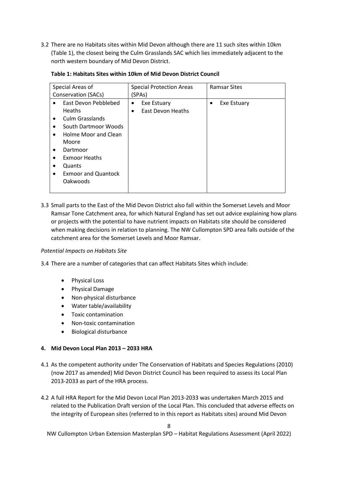3.2 There are no Habitats sites within Mid Devon although there are 11 such sites within 10km (Table 1), the closest being the Culm Grasslands SAC which lies immediately adjacent to the north western boundary of Mid Devon District.

| Special Areas of                        | <b>Special Protection Areas</b> | <b>Ramsar Sites</b>      |
|-----------------------------------------|---------------------------------|--------------------------|
| Conservation (SACs)                     | (SPAs)                          |                          |
| East Devon Pebblebed<br>$\bullet$       | Exe Estuary<br>٠                | Exe Estuary<br>$\bullet$ |
| <b>Heaths</b>                           | East Devon Heaths               |                          |
| <b>Culm Grasslands</b><br>$\bullet$     |                                 |                          |
| South Dartmoor Woods<br>$\bullet$       |                                 |                          |
| Holme Moor and Clean<br>$\bullet$       |                                 |                          |
| Moore                                   |                                 |                          |
| Dartmoor<br>$\bullet$                   |                                 |                          |
| <b>Exmoor Heaths</b>                    |                                 |                          |
| Quants                                  |                                 |                          |
| <b>Exmoor and Quantock</b><br>$\bullet$ |                                 |                          |
| Oakwoods                                |                                 |                          |
|                                         |                                 |                          |

#### **Table 1: Habitats Sites within 10km of Mid Devon District Council**

3.3 Small parts to the East of the Mid Devon District also fall within the Somerset Levels and Moor Ramsar Tone Catchment area, for which Natural England has set out advice explaining how plans or projects with the potential to have nutrient impacts on Habitats site should be considered when making decisions in relation to planning. The NW Cullompton SPD area falls outside of the catchment area for the Somerset Levels and Moor Ramsar.

#### *Potential Impacts on Habitats Site*

3.4 There are a number of categories that can affect Habitats Sites which include:

- Physical Loss
- Physical Damage
- Non-physical disturbance
- Water table/availability
- Toxic contamination
- Non-toxic contamination
- Biological disturbance

#### <span id="page-8-0"></span>**4. Mid Devon Local Plan 2013 – 2033 HRA**

- 4.1 As the competent authority under The Conservation of Habitats and Species Regulations (2010) (now 2017 as amended) Mid Devon District Council has been required to assess its Local Plan 2013-2033 as part of the HRA process.
- 4.2 A full HRA Report for the Mid Devon Local Plan 2013-2033 was undertaken March 2015 and related to the Publication Draft version of the Local Plan. This concluded that adverse effects on the integrity of European sites (referred to in this report as Habitats sites) around Mid Devon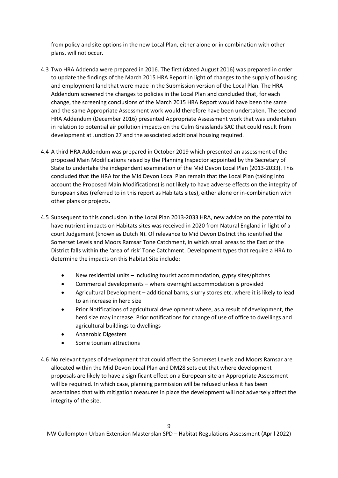from policy and site options in the new Local Plan, either alone or in combination with other plans, will not occur.

- 4.3 Two HRA Addenda were prepared in 2016. The first (dated August 2016) was prepared in order to update the findings of the March 2015 HRA Report in light of changes to the supply of housing and employment land that were made in the Submission version of the Local Plan. The HRA Addendum screened the changes to policies in the Local Plan and concluded that, for each change, the screening conclusions of the March 2015 HRA Report would have been the same and the same Appropriate Assessment work would therefore have been undertaken. The second HRA Addendum (December 2016) presented Appropriate Assessment work that was undertaken in relation to potential air pollution impacts on the Culm Grasslands SAC that could result from development at Junction 27 and the associated additional housing required.
- 4.4 A third HRA Addendum was prepared in October 2019 which presented an assessment of the proposed Main Modifications raised by the Planning Inspector appointed by the Secretary of State to undertake the independent examination of the Mid Devon Local Plan (2013-2033). This concluded that the HRA for the Mid Devon Local Plan remain that the Local Plan (taking into account the Proposed Main Modifications) is not likely to have adverse effects on the integrity of European sites (referred to in this report as Habitats sites), either alone or in-combination with other plans or projects.
- 4.5 Subsequent to this conclusion in the Local Plan 2013-2033 HRA, new advice on the potential to have nutrient impacts on Habitats sites was received in 2020 from Natural England in light of a court Judgement (known as Dutch N). Of relevance to Mid Devon District this identified the Somerset Levels and Moors Ramsar Tone Catchment, in which small areas to the East of the District falls within the 'area of risk' Tone Catchment. Development types that require a HRA to determine the impacts on this Habitat Site include:
	- New residential units including tourist accommodation, gypsy sites/pitches
	- Commercial developments where overnight accommodation is provided
	- Agricultural Development additional barns, slurry stores etc. where it is likely to lead to an increase in herd size
	- Prior Notifications of agricultural development where, as a result of development, the herd size may increase. Prior notifications for change of use of office to dwellings and agricultural buildings to dwellings
	- Anaerobic Digesters
	- Some tourism attractions
- 4.6 No relevant types of development that could affect the Somerset Levels and Moors Ramsar are allocated within the Mid Devon Local Plan and DM28 sets out that where development proposals are likely to have a significant effect on a European site an Appropriate Assessment will be required. In which case, planning permission will be refused unless it has been ascertained that with mitigation measures in place the development will not adversely affect the integrity of the site.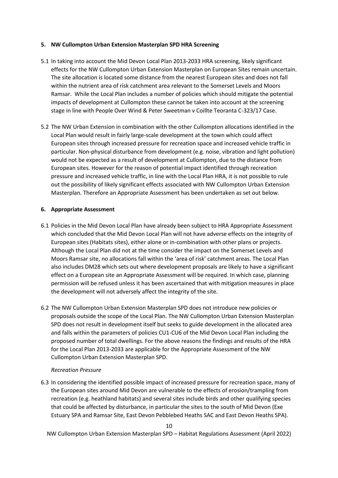## <span id="page-10-0"></span>**5. NW Cullompton Urban Extension Masterplan SPD HRA Screening**

- 5.1 In taking into account the Mid Devon Local Plan 2013-2033 HRA screening, likely significant effects for the NW Cullompton Urban Extension Masterplan on European Sites remain uncertain. The site allocation is located some distance from the nearest European sites and does not fall within the nutrient area of risk catchment area relevant to the Somerset Levels and Moors Ramsar. While the Local Plan includes a number of policies which should mitigate the potential impacts of development at Cullompton these cannot be taken into account at the screening stage in line with People Over Wind & Peter Sweetman v Coillte Teoranta C-323/17 Case.
- 5.2 The NW Urban Extension in combination with the other Cullompton allocations identified in the Local Plan would result in fairly large-scale development at the town which could affect European sites through increased pressure for recreation space and increased vehicle traffic in particular. Non-physical disturbance from development (e.g. noise, vibration and light pollution) would not be expected as a result of development at Cullompton, due to the distance from European sites. However for the reason of potential impact identified through recreation pressure and increased vehicle traffic, in line with the Local Plan HRA, it is not possible to rule out the possibility of likely significant effects associated with NW Cullompton Urban Extension Masterplan. Therefore an Appropriate Assessment has been undertaken as set out below.

## <span id="page-10-1"></span>**6. Appropriate Assessment**

- 6.1 Policies in the Mid Devon Local Plan have already been subject to HRA Appropriate Assessment which concluded that the Mid Devon Local Plan will not have adverse effects on the integrity of European sites (Habitats sites), either alone or in-combination with other plans or projects. Although the Local Plan did not at the time consider the impact on the Somerset Levels and Moors Ramsar site, no allocations fall within the 'area of risk' catchment areas. The Local Plan also includes DM28 which sets out where development proposals are likely to have a significant effect on a European site an Appropriate Assessment will be required. In which case, planning permission will be refused unless it has been ascertained that with mitigation measures in place the development will not adversely affect the integrity of the site.
- 6.2 The NW Cullompton Urban Extension Masterplan SPD does not introduce new policies or proposals outside the scope of the Local Plan. The NW Cullompton Urban Extension Masterplan SPD does not result in development itself but seeks to guide development in the allocated area and falls within the parameters of policies CU1-CU6 of the Mid Devon Local Plan including the proposed number of total dwellings. For the above reasons the findings and results of the HRA for the Local Plan 2013-2033 are applicable for the Appropriate Assessment of the NW Cullompton Urban Extension Masterplan SPD.

## *Recreation Pressure*

6.3 In considering the identified possible impact of increased pressure for recreation space, many of the European sites around Mid Devon are vulnerable to the effects of erosion/trampling from recreation (e.g. heathland habitats) and several sites include birds and other qualifying species that could be affected by disturbance, in particular the sites to the south of Mid Devon (Exe Estuary SPA and Ramsar Site, East Devon Pebblebed Heaths SAC and East Devon Heaths SPA).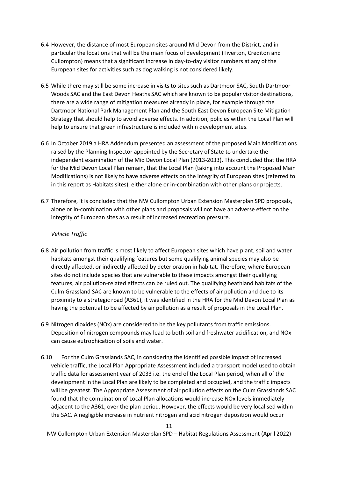- 6.4 However, the distance of most European sites around Mid Devon from the District, and in particular the locations that will be the main focus of development (Tiverton, Crediton and Cullompton) means that a significant increase in day-to-day visitor numbers at any of the European sites for activities such as dog walking is not considered likely.
- 6.5 While there may still be some increase in visits to sites such as Dartmoor SAC, South Dartmoor Woods SAC and the East Devon Heaths SAC which are known to be popular visitor destinations, there are a wide range of mitigation measures already in place, for example through the Dartmoor National Park Management Plan and the South East Devon European Site Mitigation Strategy that should help to avoid adverse effects. In addition, policies within the Local Plan will help to ensure that green infrastructure is included within development sites.
- 6.6 In October 2019 a HRA Addendum presented an assessment of the proposed Main Modifications raised by the Planning Inspector appointed by the Secretary of State to undertake the independent examination of the Mid Devon Local Plan (2013-2033). This concluded that the HRA for the Mid Devon Local Plan remain, that the Local Plan (taking into account the Proposed Main Modifications) is not likely to have adverse effects on the integrity of European sites (referred to in this report as Habitats sites), either alone or in-combination with other plans or projects.
- 6.7 Therefore, it is concluded that the NW Cullompton Urban Extension Masterplan SPD proposals, alone or in-combination with other plans and proposals will not have an adverse effect on the integrity of European sites as a result of increased recreation pressure.

## *Vehicle Traffic*

- 6.8 Air pollution from traffic is most likely to affect European sites which have plant, soil and water habitats amongst their qualifying features but some qualifying animal species may also be directly affected, or indirectly affected by deterioration in habitat. Therefore, where European sites do not include species that are vulnerable to these impacts amongst their qualifying features, air pollution-related effects can be ruled out. The qualifying heathland habitats of the Culm Grassland SAC are known to be vulnerable to the effects of air pollution and due to its proximity to a strategic road (A361), it was identified in the HRA for the Mid Devon Local Plan as having the potential to be affected by air pollution as a result of proposals in the Local Plan.
- 6.9 Nitrogen dioxides (NOx) are considered to be the key pollutants from traffic emissions. Deposition of nitrogen compounds may lead to both soil and freshwater acidification, and NOx can cause eutrophication of soils and water.
- 6.10 For the Culm Grasslands SAC, in considering the identified possible impact of increased vehicle traffic, the Local Plan Appropriate Assessment included a transport model used to obtain traffic data for assessment year of 2033 i.e. the end of the Local Plan period, when all of the development in the Local Plan are likely to be completed and occupied, and the traffic impacts will be greatest. The Appropriate Assessment of air pollution effects on the Culm Grasslands SAC found that the combination of Local Plan allocations would increase NOx levels immediately adjacent to the A361, over the plan period. However, the effects would be very localised within the SAC. A negligible increase in nutrient nitrogen and acid nitrogen deposition would occur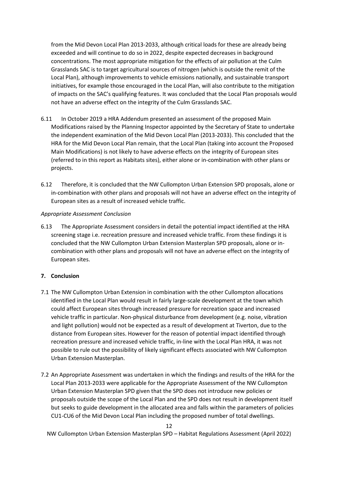from the Mid Devon Local Plan 2013-2033, although critical loads for these are already being exceeded and will continue to do so in 2022, despite expected decreases in background concentrations. The most appropriate mitigation for the effects of air pollution at the Culm Grasslands SAC is to target agricultural sources of nitrogen (which is outside the remit of the Local Plan), although improvements to vehicle emissions nationally, and sustainable transport initiatives, for example those encouraged in the Local Plan, will also contribute to the mitigation of impacts on the SAC's qualifying features. It was concluded that the Local Plan proposals would not have an adverse effect on the integrity of the Culm Grasslands SAC.

- 6.11 In October 2019 a HRA Addendum presented an assessment of the proposed Main Modifications raised by the Planning Inspector appointed by the Secretary of State to undertake the independent examination of the Mid Devon Local Plan (2013-2033). This concluded that the HRA for the Mid Devon Local Plan remain, that the Local Plan (taking into account the Proposed Main Modifications) is not likely to have adverse effects on the integrity of European sites (referred to in this report as Habitats sites), either alone or in-combination with other plans or projects.
- 6.12 Therefore, it is concluded that the NW Cullompton Urban Extension SPD proposals, alone or in-combination with other plans and proposals will not have an adverse effect on the integrity of European sites as a result of increased vehicle traffic.

## *Appropriate Assessment Conclusion*

6.13 The Appropriate Assessment considers in detail the potential impact identified at the HRA screening stage i.e. recreation pressure and increased vehicle traffic. From these findings it is concluded that the NW Cullompton Urban Extension Masterplan SPD proposals, alone or incombination with other plans and proposals will not have an adverse effect on the integrity of European sites.

## <span id="page-12-0"></span>**7. Conclusion**

- 7.1 The NW Cullompton Urban Extension in combination with the other Cullompton allocations identified in the Local Plan would result in fairly large-scale development at the town which could affect European sites through increased pressure for recreation space and increased vehicle traffic in particular. Non-physical disturbance from development (e.g. noise, vibration and light pollution) would not be expected as a result of development at Tiverton, due to the distance from European sites. However for the reason of potential impact identified through recreation pressure and increased vehicle traffic, in-line with the Local Plan HRA, it was not possible to rule out the possibility of likely significant effects associated with NW Cullompton Urban Extension Masterplan.
- 7.2 An Appropriate Assessment was undertaken in which the findings and results of the HRA for the Local Plan 2013-2033 were applicable for the Appropriate Assessment of the NW Cullompton Urban Extension Masterplan SPD given that the SPD does not introduce new policies or proposals outside the scope of the Local Plan and the SPD does not result in development itself but seeks to guide development in the allocated area and falls within the parameters of policies CU1-CU6 of the Mid Devon Local Plan including the proposed number of total dwellings.